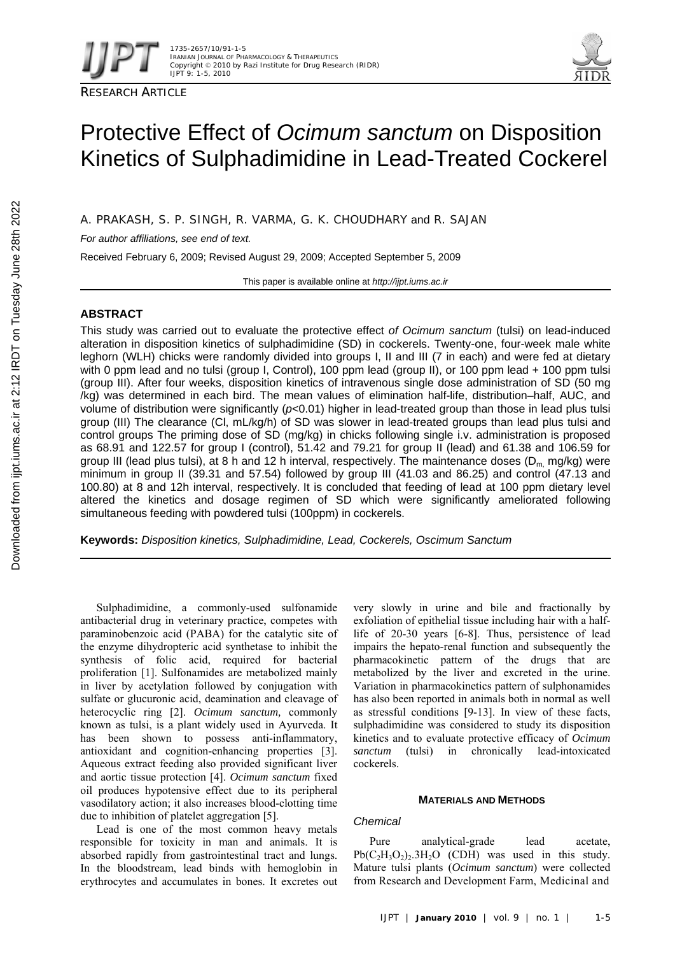

# Protective Effect of *Ocimum sanctum* on Disposition Kinetics of Sulphadimidine in Lead-Treated Cockerel

A. PRAKASH, S. P. SINGH, R. VARMA, G. K. CHOUDHARY and R. SAJAN

*For author affiliations, see end of text.* 

Received February 6, 2009; Revised August 29, 2009; Accepted September 5, 2009

This paper is available online at *http://ijpt.iums.ac.ir*

# **ABSTRACT**

This study was carried out to evaluate the protective effect *of Ocimum sanctum* (tulsi) on lead-induced alteration in disposition kinetics of sulphadimidine (SD) in cockerels. Twenty-one, four-week male white leghorn (WLH) chicks were randomly divided into groups I, II and III (7 in each) and were fed at dietary with 0 ppm lead and no tulsi (group I, Control), 100 ppm lead (group II), or 100 ppm lead + 100 ppm tulsi (group III). After four weeks, disposition kinetics of intravenous single dose administration of SD (50 mg /kg) was determined in each bird. The mean values of elimination half-life, distribution–half, AUC, and volume of distribution were significantly (*p*<0.01) higher in lead-treated group than those in lead plus tulsi group (III) The clearance (Cl, mL/kg/h) of SD was slower in lead-treated groups than lead plus tulsi and control groups The priming dose of SD (mg/kg) in chicks following single i.v. administration is proposed as 68.91 and 122.57 for group I (control), 51.42 and 79.21 for group II (lead) and 61.38 and 106.59 for group III (lead plus tulsi), at 8 h and 12 h interval, respectively. The maintenance doses ( $D_m$  mg/kg) were minimum in group II (39.31 and 57.54) followed by group III (41.03 and 86.25) and control (47.13 and 100.80) at 8 and 12h interval, respectively. It is concluded that feeding of lead at 100 ppm dietary level altered the kinetics and dosage regimen of SD which were significantly ameliorated following simultaneous feeding with powdered tulsi (100ppm) in cockerels.

**Keywords:** *Disposition kinetics, Sulphadimidine, Lead, Cockerels, Oscimum Sanctum*

Sulphadimidine, a commonly-used sulfonamide antibacterial drug in veterinary practice, competes with paraminobenzoic acid (PABA) for the catalytic site of the enzyme dihydropteric acid synthetase to inhibit the synthesis of folic acid, required for bacterial proliferation [1]. Sulfonamides are metabolized mainly in liver by acetylation followed by conjugation with sulfate or glucuronic acid, deamination and cleavage of heterocyclic ring [2]. *Ocimum sanctum*, commonly known as tulsi, is a plant widely used in Ayurveda. It has been shown to possess anti-inflammatory, antioxidant and cognition-enhancing properties [3]. Aqueous extract feeding also provided significant liver and aortic tissue protection [4]. *Ocimum sanctum* fixed oil produces hypotensive effect due to its peripheral vasodilatory action; it also increases blood-clotting time due to inhibition of platelet aggregation [5].

Lead is one of the most common heavy metals responsible for toxicity in man and animals. It is absorbed rapidly from gastrointestinal tract and lungs. In the bloodstream, lead binds with hemoglobin in erythrocytes and accumulates in bones. It excretes out

very slowly in urine and bile and fractionally by exfoliation of epithelial tissue including hair with a halflife of 20-30 years [6-8]. Thus, persistence of lead impairs the hepato-renal function and subsequently the pharmacokinetic pattern of the drugs that are metabolized by the liver and excreted in the urine. Variation in pharmacokinetics pattern of sulphonamides has also been reported in animals both in normal as well as stressful conditions  $[9-13]$ . In view of these facts, sulphadimidine was considered to study its disposition kinetics and to evaluate protective efficacy of *Ocimum sanctum* (tulsi) in chronically lead-intoxicated cockerels.

## **MATERIALS AND METHODS**

## *Chemical*

Pure analytical-grade lead acetate,  $Pb(C_2H_3O_2)_2.3H_2O$  (CDH) was used in this study. Mature tulsi plants (*Ocimum sanctum*) were collected from Research and Development Farm, Medicinal and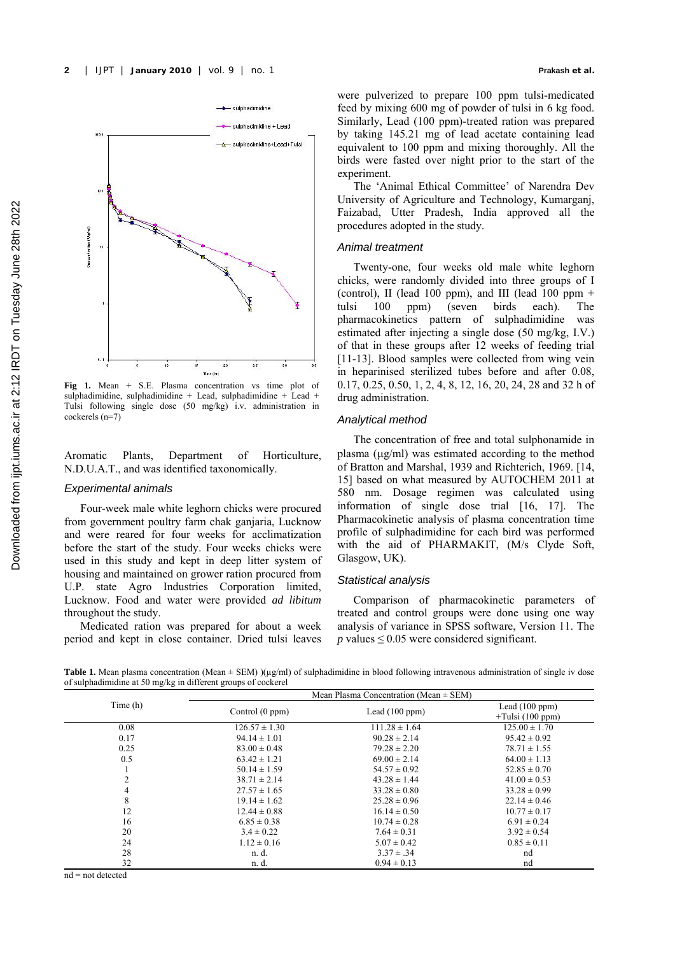

**Fig 1.** Mean + S.E. Plasma concentration vs time plot of sulphadimidine, sulphadimidine + Lead, sulphadimidine + Lead + Tulsi following single dose (50 mg/kg) i.v. administration in cockerels (n=7)

Aromatic Plants, Department of Horticulture, N.D.U.A.T., and was identified taxonomically.

## *Experimental animals*

Four-week male white leghorn chicks were procured from government poultry farm chak ganjaria, Lucknow and were reared for four weeks for acclimatization before the start of the study. Four weeks chicks were used in this study and kept in deep litter system of housing and maintained on grower ration procured from U.P. state Agro Industries Corporation limited, Lucknow. Food and water were provided *ad libitum* throughout the study.

Medicated ration was prepared for about a week period and kept in close container. Dried tulsi leaves were pulverized to prepare 100 ppm tulsi-medicated feed by mixing 600 mg of powder of tulsi in 6 kg food. Similarly, Lead (100 ppm)-treated ration was prepared by taking 145.21 mg of lead acetate containing lead equivalent to 100 ppm and mixing thoroughly. All the birds were fasted over night prior to the start of the experiment.

The 'Animal Ethical Committee' of Narendra Dev University of Agriculture and Technology, Kumarganj, Faizabad, Utter Pradesh, India approved all the procedures adopted in the study.

#### *Animal treatment*

Twenty-one, four weeks old male white leghorn chicks, were randomly divided into three groups of I (control), II (lead 100 ppm), and III (lead  $100$  ppm + tulsi 100 ppm) (seven birds each). The pharmacokinetics pattern of sulphadimidine was estimated after injecting a single dose (50 mg/kg, I.V.) of that in these groups after 12 weeks of feeding trial [11-13]. Blood samples were collected from wing vein in heparinised sterilized tubes before and after 0.08, 0.17, 0.25, 0.50, 1, 2, 4, 8, 12, 16, 20, 24, 28 and 32 h of drug administration.

## *Analytical method*

The concentration of free and total sulphonamide in plasma (μg/ml) was estimated according to the method of Bratton and Marshal, 1939 and Richterich, 1969. [ 14, 15] based on what measured by AUTOCHEM 2011 at 580 nm. Dosage regimen was calculated using information of single dose trial [16, 17]. The Pharmacokinetic analysis of plasma concentration time profile of sulphadimidine for each bird was performed with the aid of PHARMAKIT, (M/s Clyde Soft, Glasgow, UK).

## *Statistical analysis*

Comparison of pharmacokinetic parameters of treated and control groups were done using one way analysis of variance in SPSS software, Version 11. The *p* values  $\leq 0.05$  were considered significant.

**Table 1.** Mean plasma concentration (Mean ± SEM) )(µg/ml) of sulphadimidine in blood following intravenous administration of single iv dose of sulphadimidine at 50 mg/kg in different groups of cockerel

| Time (h) | Mean Plasma Concentration (Mean $\pm$ SEM) |                   |                                        |  |  |  |
|----------|--------------------------------------------|-------------------|----------------------------------------|--|--|--|
|          | Control (0 ppm)                            | Lead $(100 ppm)$  | Lead $(100 ppm)$<br>$+Tulsi (100 ppm)$ |  |  |  |
| 0.08     | $126.57 \pm 1.30$                          | $111.28 \pm 1.64$ | $125.00 \pm 1.70$                      |  |  |  |
| 0.17     | $94.14 \pm 1.01$                           | $90.28 \pm 2.14$  | $95.42 \pm 0.92$                       |  |  |  |
| 0.25     | $83.00 \pm 0.48$                           | $79.28 \pm 2.20$  | $78.71 \pm 1.55$                       |  |  |  |
| 0.5      | $63.42 \pm 1.21$                           | $69.00 \pm 2.14$  | $64.00 \pm 1.13$                       |  |  |  |
|          | $50.14 \pm 1.59$                           | $54.57 \pm 0.92$  | $52.85 \pm 0.70$                       |  |  |  |
| 2        | $38.71 \pm 2.14$                           | $43.28 \pm 1.44$  | $41.00 \pm 0.53$                       |  |  |  |
| 4        | $27.57 \pm 1.65$                           | $33.28 \pm 0.80$  | $33.28 \pm 0.99$                       |  |  |  |
| 8        | $19.14 \pm 1.62$                           | $25.28 \pm 0.96$  | $22.14 \pm 0.46$                       |  |  |  |
| 12       | $12.44 \pm 0.88$                           | $16.14 \pm 0.50$  | $10.77 \pm 0.17$                       |  |  |  |
| 16       | $6.85 \pm 0.38$                            | $10.74 \pm 0.28$  | $6.91 \pm 0.24$                        |  |  |  |
| 20       | $3.4 \pm 0.22$                             | $7.64 \pm 0.31$   | $3.92 \pm 0.54$                        |  |  |  |
| 24       | $1.12 \pm 0.16$                            | $5.07 \pm 0.42$   | $0.85 \pm 0.11$                        |  |  |  |
| 28       | n. d.                                      | $3.37 \pm .34$    | nd                                     |  |  |  |
| 32       | n. d.                                      | $0.94 \pm 0.13$   | nd                                     |  |  |  |

 $nd = not detected$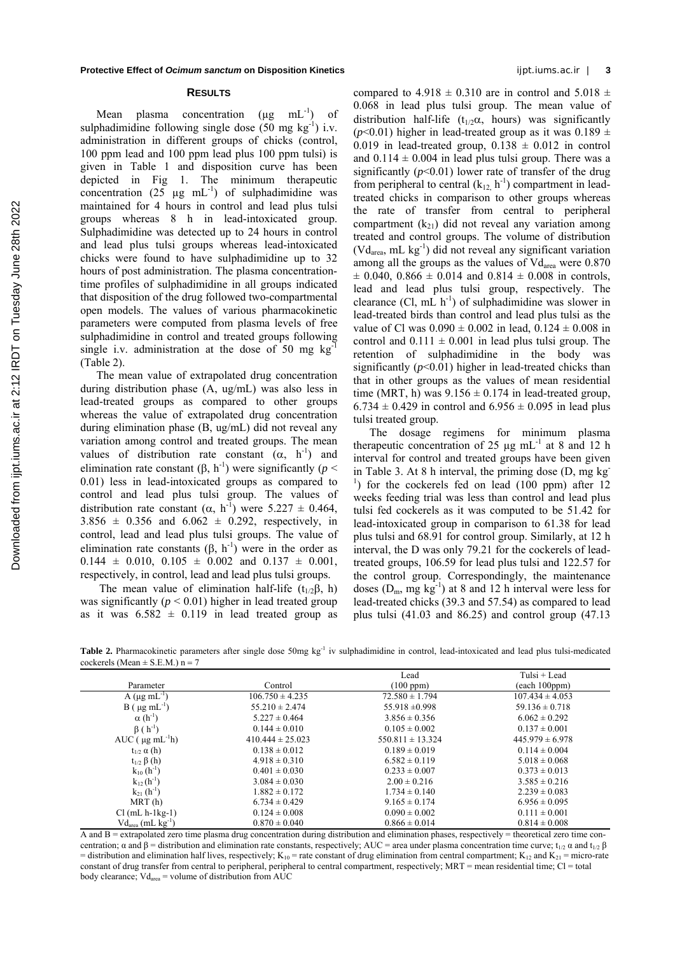#### **RESULTS**

Mean plasma concentration  $(\mu g \nvert ml^{-1})$  of sulphadimidine following single dose  $(50 \text{ mg kg}^{-1})$  i.v. administration in different groups of chicks (control, 100 ppm lead and 100 ppm lead plus 100 ppm tulsi) is given in Table 1 and disposition curve has been depicted in Fig 1. The minimum therapeutic concentration (25  $\mu$ g mL<sup>-1</sup>) of sulphadimidine was maintained for 4 hours in control and lead plus tulsi groups whereas 8 h in lead-intoxicated group. Sulphadimidine was detected up to 24 hours in control and lead plus tulsi groups whereas lead-intoxicated chicks were found to have sulphadimidine up to 32 hours of post administration. The plasma concentrationtime profiles of sulphadimidine in all groups indicated that disposition of the drug followed two-compartmental open models. The values of various pharmacokinetic parameters were computed from plasma levels of free sulphadimidine in control and treated groups following single i.v. administration at the dose of 50 mg  $kg$ (Table 2).

The mean value of extrapolated drug concentration during distribution phase (A, ug/mL) was also less in lead-treated groups as compared to other groups whereas the value of extrapolated drug concentration during elimination phase (B, ug/mL) did not reveal any variation among control and treated groups. The mean values of distribution rate constant  $(\alpha, h^{-1})$  and elimination rate constant  $(0, h^{-1})$  were significantly (*p* < 0.01) less in lead-intoxicated groups as compared to control and lead plus tulsi group. The values of distribution rate constant  $(\alpha, h^{-1})$  were 5.227  $\pm$  0.464,  $3.856 \pm 0.356$  and  $6.062 \pm 0.292$ , respectively, in control, lead and lead plus tulsi groups. The value of elimination rate constants  $(β, h^{-1})$  were in the order as  $0.144 \pm 0.010, 0.105 \pm 0.002$  and  $0.137 \pm 0.001$ , respectively, in control, lead and lead plus tulsi groups.

The mean value of elimination half-life ( $t_{1/2}$ β, h) was significantly  $(p < 0.01)$  higher in lead treated group as it was  $6.582 \pm 0.119$  in lead treated group as

compared to  $4.918 \pm 0.310$  are in control and  $5.018 \pm 0.310$ 0.068 in lead plus tulsi group. The mean value of distribution half-life ( $t_{1/2}\alpha$ , hours) was significantly ( $p$ <0.01) higher in lead-treated group as it was  $0.189 \pm$ 0.019 in lead-treated group,  $0.138 \pm 0.012$  in control and  $0.114 \pm 0.004$  in lead plus tulsi group. There was a significantly  $(p<0.01)$  lower rate of transfer of the drug from peripheral to central  $(k_{12}, h^{-1})$  compartment in leadtreated chicks in comparison to other groups whereas the rate of transfer from central to peripheral compartment  $(k_{21})$  did not reveal any variation among treated and control groups. The volume of distribution (Vdarea, mL kg-1) did not reveal any significant variation among all the groups as the values of  $Vd<sub>area</sub>$  were 0.870  $\pm$  0.040, 0.866  $\pm$  0.014 and 0.814  $\pm$  0.008 in controls, lead and lead plus tulsi group, respectively. The clearance  $(Cl, mL h^{-1})$  of sulphadimidine was slower in lead-treated birds than control and lead plus tulsi as the value of Cl was  $0.090 \pm 0.002$  in lead,  $0.124 \pm 0.008$  in control and  $0.111 \pm 0.001$  in lead plus tulsi group. The retention of sulphadimidine in the body was significantly  $(p<0.01)$  higher in lead-treated chicks than that in other groups as the values of mean residential time (MRT, h) was  $9.156 \pm 0.174$  in lead-treated group,  $6.734 \pm 0.429$  in control and  $6.956 \pm 0.095$  in lead plus tulsi treated group.

The dosage regimens for minimum plasma therapeutic concentration of 25  $\mu$ g mL<sup>-1</sup> at 8 and 12 h interval for control and treated groups have been given in Table 3. At 8 h interval, the priming dose  $(D, mg kg)$  $\frac{1}{1}$ ) for the cockerels fed on lead (100 ppm) after 12 weeks feeding trial was less than control and lead plus tulsi fed cockerels as it was computed to be 51.42 for lead-intoxicated group in comparison to 61.38 for lead plus tulsi and 68.91 for control group. Similarly, at 12 h interval, the D was only 79.21 for the cockerels of leadtreated groups, 106.59 for lead plus tulsi and 122.57 for the control group. Correspondingly, the maintenance doses  $(D_m, mg kg^{-1})$  at 8 and 12 h interval were less for lead-treated chicks (39.3 and 57.54) as compared to lead plus tulsi (41.03 and 86.25) and control group (47.13

Table 2. Pharmacokinetic parameters after single dose 50mg kg<sup>-1</sup> iv sulphadimidine in control, lead-intoxicated and lead plus tulsi-medicated cockerels (Mean  $\pm$  S.E.M.) n = 7

| .                                |                      |                      |                     |
|----------------------------------|----------------------|----------------------|---------------------|
|                                  |                      | Lead                 | Tulsi + Lead        |
| Parameter                        | Control              | (100 ppm)            | (each 100ppm)       |
| $A(\mu g \text{ mL}^{-1})$       | $106.750 \pm 4.235$  | $72.580 \pm 1.794$   | $107.434 \pm 4.053$ |
| $B$ ( $\mu$ g mL <sup>-1</sup> ) | $55.210 \pm 2.474$   | $55.918 \pm 0.998$   | $59.136 \pm 0.718$  |
| $\alpha(h^{-1})$                 | $5.227 \pm 0.464$    | $3.856 \pm 0.356$    | $6.062 \pm 0.292$   |
| $\beta(h^{-1})$                  | $0.144 \pm 0.010$    | $0.105 \pm 0.002$    | $0.137 \pm 0.001$   |
| AUC $(\mu g \text{ mL}^{-1} h)$  | $410.444 \pm 25.023$ | $550.811 \pm 13.324$ | $445.979 \pm 6.978$ |
| $t_{1/2}$ $\alpha$ (h)           | $0.138 \pm 0.012$    | $0.189 \pm 0.019$    | $0.114 \pm 0.004$   |
| $t_{1/2}$ $\beta$ (h)            | $4.918 \pm 0.310$    | $6.582 \pm 0.119$    | $5.018 \pm 0.068$   |
| $k_{10}$ $(h^{-1})$              | $0.401 \pm 0.030$    | $0.233 \pm 0.007$    | $0.373 \pm 0.013$   |
| $k_{12}(h^{-1})$                 | $3.084 \pm 0.030$    | $2.00 \pm 0.216$     | $3.585 \pm 0.216$   |
| $k_{21}$ (h <sup>-1</sup> )      | $1.882 \pm 0.172$    | $1.734 \pm 0.140$    | $2.239 \pm 0.083$   |
| MRT(h)                           | $6.734 \pm 0.429$    | $9.165 \pm 0.174$    | $6.956 \pm 0.095$   |
| $Cl(mL h-1kg-1)$                 | $0.124 \pm 0.008$    | $0.090 \pm 0.002$    | $0.111 \pm 0.001$   |
| $Vd_{area}$ (mL $kg^{-1}$ )      | $0.870 \pm 0.040$    | $0.866 \pm 0.014$    | $0.814 \pm 0.008$   |

 $\overline{A}$  and  $\overline{B}$  = extrapolated zero time plasma drug concentration during distribution and elimination phases, respectively = theoretical zero time concentration;  $\alpha$  and  $\beta$  = distribution and elimination rate constants, respectively; AUC = area under plasma concentration time curve; t<sub>1/2</sub>  $\alpha$  and t<sub>1/2</sub>  $\beta$ = distribution and elimination half lives, respectively;  $K_{10}$  = rate constant of drug elimination from central compartment;  $K_{12}$  and  $K_{21}$  = micro-rate constant of drug transfer from central to peripheral, peripheral to central compartment, respectively; MRT = mean residential time; Cl = total body clearance; Vd<sub>area</sub> = volume of distribution from AUC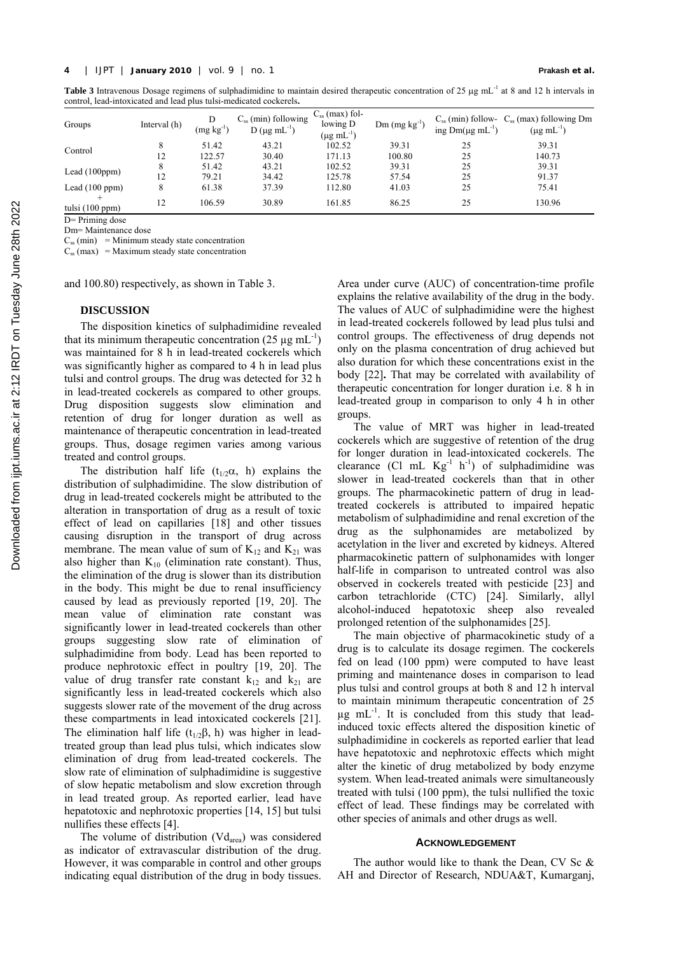**Table 3** Intravenous Dosage regimens of sulphadimidine to maintain desired therapeutic concentration of 25 μg mL-1 at 8 and 12 h intervals in control, lead-intoxicated and lead plus tulsi-medicated cockerels**.**

| Groups                    | Interval (h) | D<br>$(mg kg-1)$ | $C_{ss}$ (min) following<br>D ( $\mu$ g mL <sup>-1</sup> ) | $C_{ss}$ (max) fol-<br>lowing D<br>$(\mu g \text{ mL}^{-1})$ | $Dm$ (mg $kg^{-1}$ ) | ing $Dm(\mu g \text{ mL}^{-1})$ | $C_{ss}$ (min) follow- $C_{ss}$ (max) following Dm<br>$(\mu g \text{ mL}^{-1})$ |
|---------------------------|--------------|------------------|------------------------------------------------------------|--------------------------------------------------------------|----------------------|---------------------------------|---------------------------------------------------------------------------------|
| Control                   | 8            | 51.42            | 43.21                                                      | 102.52                                                       | 39.31                | 25                              | 39.31                                                                           |
|                           | 12           | 122.57           | 30.40                                                      | 171.13                                                       | 100.80               | 25                              | 140.73                                                                          |
| Lead $(100ppm)$           | 8            | 51.42            | 43.21                                                      | 102.52                                                       | 39.31                | 25                              | 39.31                                                                           |
|                           | 12           | 79.21            | 34.42                                                      | 125.78                                                       | 57.54                | 25                              | 91.37                                                                           |
| Lead $(100 ppm)$          | 8            | 61.38            | 37.39                                                      | 112.80                                                       | 41.03                | 25                              | 75.41                                                                           |
| $^+$<br>tulsi $(100 ppm)$ | 12           | 106.59           | 30.89                                                      | 161.85                                                       | 86.25                | 25                              | 130.96                                                                          |

D= Priming dose

Dm= Maintenance dose

 $C_{ss}$  (min) = Minimum steady state concentration

 $C_{ss}$  (max) = Maximum steady state concentration

and 100.80) respectively, as shown in Table 3.

## **DISCUSSION**

The disposition kinetics of sulphadimidine revealed that its minimum therapeutic concentration  $(25 \text{ µg} \text{ mL}^{-1})$ was maintained for 8 h in lead-treated cockerels which was significantly higher as compared to 4 h in lead plus tulsi and control groups. The drug was detected for 32 h in lead-treated cockerels as compared to other groups. Drug disposition suggests slow elimination and retention of drug for longer duration as well as maintenance of therapeutic concentration in lead-treated groups. Thus, dosage regimen varies among various treated and control groups.

The distribution half life ( $t_{1/2}\alpha$ , h) explains the distribution of sulphadimidine. The slow distribution of drug in lead-treated cockerels might be attributed to the alteration in transportation of drug as a result of toxic effect of lead on capillaries [18] and other tissues causing disruption in the transport of drug across membrane. The mean value of sum of  $K_{12}$  and  $K_{21}$  was also higher than  $K_{10}$  (elimination rate constant). Thus, the elimination of the drug is slower than its distribution in the body. This might be due to renal insufficiency caused by lead as previously reported [ 19, 20]. The mean value of elimination rate constant was significantly lower in lead-treated cockerels than other groups suggesting slow rate of elimination of sulphadimidine from body. Lead has been reported to produce nephrotoxic effect in poultry [ 19, 20]. The value of drug transfer rate constant  $k_{12}$  and  $k_{21}$  are significantly less in lead-treated cockerels which also suggests slower rate of the movement of the drug across these compartments in lead intoxicated cockerels [21]. The elimination half life ( $t_{1/2}\beta$ , h) was higher in leadtreated group than lead plus tulsi, which indicates slow elimination of drug from lead-treated cockerels. The slow rate of elimination of sulphadimidine is suggestive of slow hepatic metabolism and slow excretion through in lead treated group. As reported earlier, lead have hepatotoxic and nephrotoxic properties [14, 15] but tulsi nullifies these effects [4].

The volume of distribution  $(Vd<sub>area</sub>)$  was considered as indicator of extravascular distribution of the drug. However, it was comparable in control and other groups indicating equal distribution of the drug in body tissues. Area under curve (AUC) of concentration-time profile explains the relative availability of the drug in the body. The values of AUC of sulphadimidine were the highest in lead-treated cockerels followed by lead plus tulsi and control groups. The effectiveness of drug depends not only on the plasma concentration of drug achieved but also duration for which these concentrations exist in the body [ 22]**.** That may be correlated with availability of therapeutic concentration for longer duration i.e. 8 h in lead-treated group in comparison to only 4 h in other groups.

The value of MRT was higher in lead-treated cockerels which are suggestive of retention of the drug for longer duration in lead-intoxicated cockerels. The clearance (Cl mL  $Kg^{-1}$  h<sup>-1</sup>) of sulphadimidine was slower in lead-treated cockerels than that in other groups. The pharmacokinetic pattern of drug in leadtreated cockerels is attributed to impaired hepatic metabolism of sulphadimidine and renal excretion of the drug as the sulphonamides are metabolized by acetylation in the liver and excreted by kidneys. Altered pharmacokinetic pattern of sulphonamides with longer half-life in comparison to untreated control was also observed in cockerels treated with pesticide [23] and carbon tetrachloride (CTC) [24]. Similarly, allyl alcohol-induced hepatotoxic sheep also revealed prolonged retention of the sulphonamides [ 25].

The main objective of pharmacokinetic study of a drug is to calculate its dosage regimen. The cockerels fed on lead (100 ppm) were computed to have least priming and maintenance doses in comparison to lead plus tulsi and control groups at both 8 and 12 h interval to maintain minimum therapeutic concentration of 25  $\mu$ g mL<sup>-1</sup>. It is concluded from this study that leadinduced toxic effects altered the disposition kinetic of sulphadimidine in cockerels as reported earlier that lead have hepatotoxic and nephrotoxic effects which might alter the kinetic of drug metabolized by body enzyme system. When lead-treated animals were simultaneously treated with tulsi (100 ppm), the tulsi nullified the toxic effect of lead. These findings may be correlated with other species of animals and other drugs as well.

#### **ACKNOWLEDGEMENT**

The author would like to thank the Dean, CV Sc  $\&$ AH and Director of Research, NDUA&T, Kumarganj,